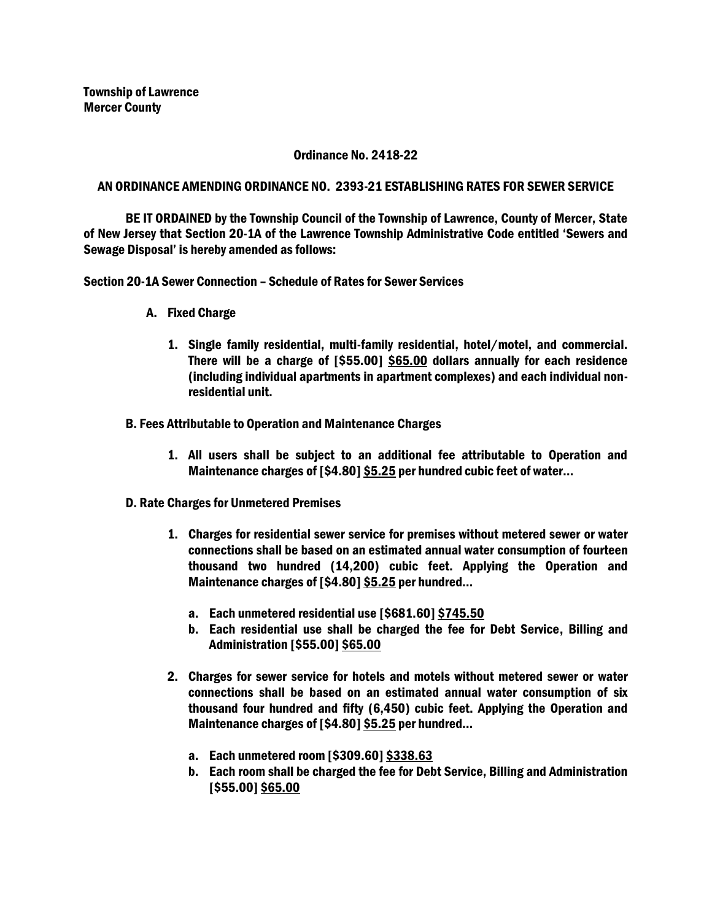## Ordinance No. 2418-22

## AN ORDINANCE AMENDING ORDINANCE NO. 2393-21 ESTABLISHING RATES FOR SEWER SERVICE

BE IT ORDAINED by the Township Council of the Township of Lawrence, County of Mercer, State of New Jersey that Section 20-1A of the Lawrence Township Administrative Code entitled 'Sewers and Sewage Disposal' is hereby amended as follows:

Section 20-1A Sewer Connection – Schedule of Rates for Sewer Services

- A. Fixed Charge
	- 1. Single family residential, multi-family residential, hotel/motel, and commercial. There will be a charge of [\$55.00] \$65.00 dollars annually for each residence (including individual apartments in apartment complexes) and each individual nonresidential unit.
- B. Fees Attributable to Operation and Maintenance Charges
	- 1. All users shall be subject to an additional fee attributable to Operation and Maintenance charges of [\$4.80] \$5.25 per hundred cubic feet of water…
- D. Rate Charges for Unmetered Premises
	- 1. Charges for residential sewer service for premises without metered sewer or water connections shall be based on an estimated annual water consumption of fourteen thousand two hundred (14,200) cubic feet. Applying the Operation and Maintenance charges of [\$4.80] \$5.25 per hundred…
		- a. Each unmetered residential use [\$681.60] \$745.50
		- b. Each residential use shall be charged the fee for Debt Service, Billing and Administration [\$55.00] \$65.00
	- 2. Charges for sewer service for hotels and motels without metered sewer or water connections shall be based on an estimated annual water consumption of six thousand four hundred and fifty (6,450) cubic feet. Applying the Operation and Maintenance charges of [\$4.80] \$5.25 per hundred…
		- a. Each unmetered room [\$309.60] \$338.63
		- b. Each room shall be charged the fee for Debt Service, Billing and Administration [\$55.00] \$65.00